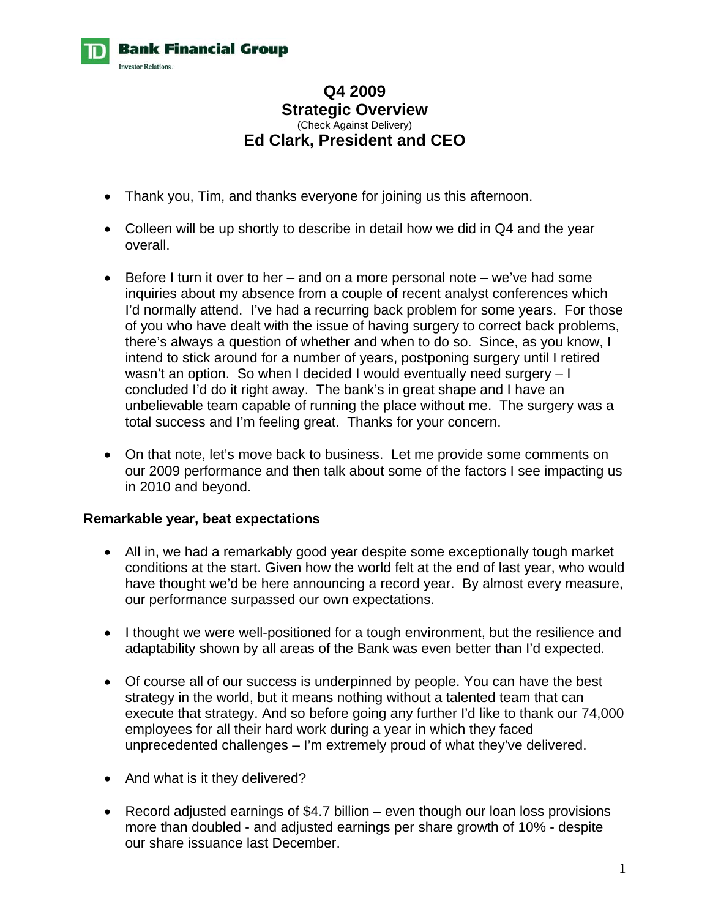

## **Q4 2009 Strategic Overview**  (Check Against Delivery) **Ed Clark, President and CEO**

- Thank you, Tim, and thanks everyone for joining us this afternoon.
- Colleen will be up shortly to describe in detail how we did in Q4 and the year overall.
- Before I turn it over to her and on a more personal note we've had some inquiries about my absence from a couple of recent analyst conferences which I'd normally attend. I've had a recurring back problem for some years. For those of you who have dealt with the issue of having surgery to correct back problems, there's always a question of whether and when to do so. Since, as you know, I intend to stick around for a number of years, postponing surgery until I retired wasn't an option. So when I decided I would eventually need surgery – I concluded I'd do it right away. The bank's in great shape and I have an unbelievable team capable of running the place without me. The surgery was a total success and I'm feeling great. Thanks for your concern.
- On that note, let's move back to business. Let me provide some comments on our 2009 performance and then talk about some of the factors I see impacting us in 2010 and beyond.

#### **Remarkable year, beat expectations**

- All in, we had a remarkably good year despite some exceptionally tough market conditions at the start. Given how the world felt at the end of last year, who would have thought we'd be here announcing a record year. By almost every measure, our performance surpassed our own expectations.
- I thought we were well-positioned for a tough environment, but the resilience and adaptability shown by all areas of the Bank was even better than I'd expected.
- Of course all of our success is underpinned by people. You can have the best strategy in the world, but it means nothing without a talented team that can execute that strategy. And so before going any further I'd like to thank our 74,000 employees for all their hard work during a year in which they faced unprecedented challenges – I'm extremely proud of what they've delivered.
- And what is it they delivered?
- Record adjusted earnings of \$4.7 billion even though our loan loss provisions more than doubled - and adjusted earnings per share growth of 10% - despite our share issuance last December.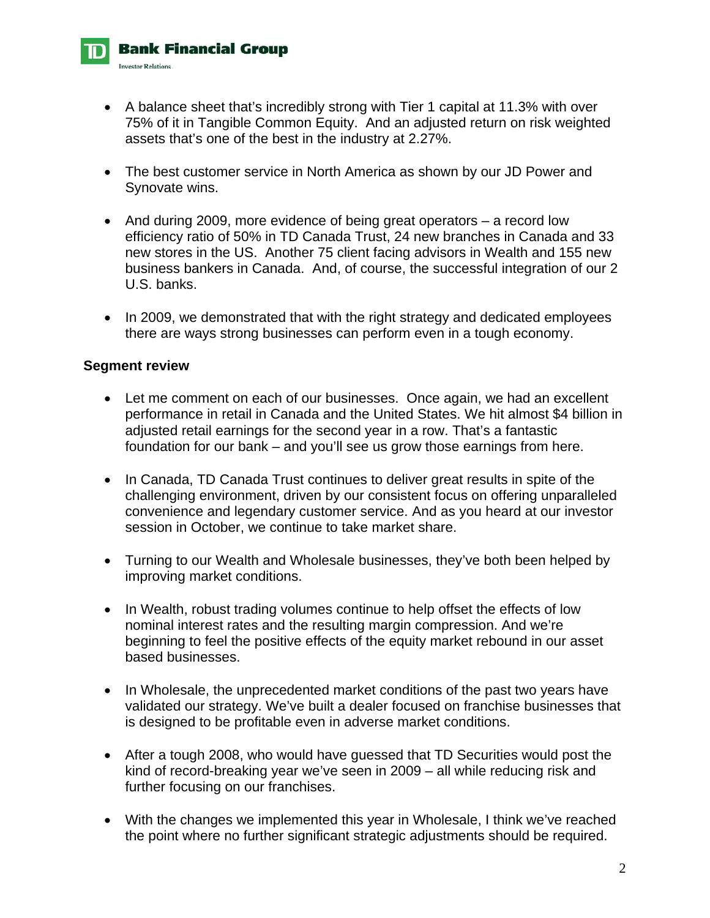- A balance sheet that's incredibly strong with Tier 1 capital at 11.3% with over 75% of it in Tangible Common Equity. And an adjusted return on risk weighted assets that's one of the best in the industry at 2.27%.
- The best customer service in North America as shown by our JD Power and Synovate wins.
- And during 2009, more evidence of being great operators a record low efficiency ratio of 50% in TD Canada Trust, 24 new branches in Canada and 33 new stores in the US. Another 75 client facing advisors in Wealth and 155 new business bankers in Canada. And, of course, the successful integration of our 2 U.S. banks.
- In 2009, we demonstrated that with the right strategy and dedicated employees there are ways strong businesses can perform even in a tough economy.

#### **Segment review**

**Bank Financial Group** 

**Investor Relations.** 

- Let me comment on each of our businesses. Once again, we had an excellent performance in retail in Canada and the United States. We hit almost \$4 billion in adjusted retail earnings for the second year in a row. That's a fantastic foundation for our bank – and you'll see us grow those earnings from here.
- In Canada, TD Canada Trust continues to deliver great results in spite of the challenging environment, driven by our consistent focus on offering unparalleled convenience and legendary customer service. And as you heard at our investor session in October, we continue to take market share.
- Turning to our Wealth and Wholesale businesses, they've both been helped by improving market conditions.
- In Wealth, robust trading volumes continue to help offset the effects of low nominal interest rates and the resulting margin compression. And we're beginning to feel the positive effects of the equity market rebound in our asset based businesses.
- In Wholesale, the unprecedented market conditions of the past two years have validated our strategy. We've built a dealer focused on franchise businesses that is designed to be profitable even in adverse market conditions.
- After a tough 2008, who would have guessed that TD Securities would post the kind of record-breaking year we've seen in 2009 – all while reducing risk and further focusing on our franchises.
- With the changes we implemented this year in Wholesale, I think we've reached the point where no further significant strategic adjustments should be required.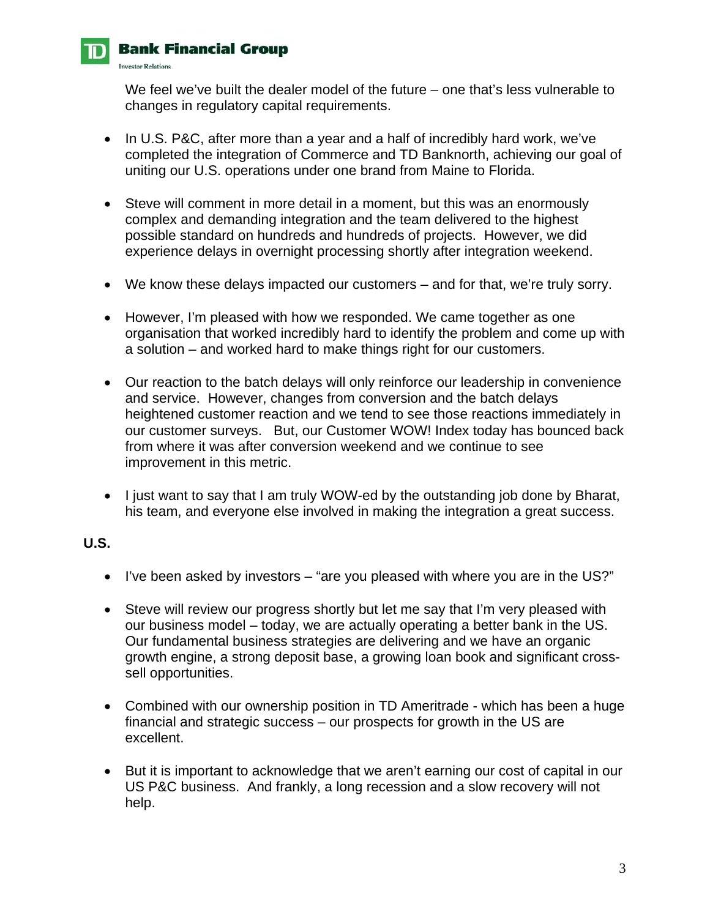

**Investor Relations** 

We feel we've built the dealer model of the future – one that's less vulnerable to changes in regulatory capital requirements.

- In U.S. P&C, after more than a year and a half of incredibly hard work, we've completed the integration of Commerce and TD Banknorth, achieving our goal of uniting our U.S. operations under one brand from Maine to Florida.
- Steve will comment in more detail in a moment, but this was an enormously complex and demanding integration and the team delivered to the highest possible standard on hundreds and hundreds of projects. However, we did experience delays in overnight processing shortly after integration weekend.
- We know these delays impacted our customers and for that, we're truly sorry.
- However, I'm pleased with how we responded. We came together as one organisation that worked incredibly hard to identify the problem and come up with a solution – and worked hard to make things right for our customers.
- Our reaction to the batch delays will only reinforce our leadership in convenience and service. However, changes from conversion and the batch delays heightened customer reaction and we tend to see those reactions immediately in our customer surveys. But, our Customer WOW! Index today has bounced back from where it was after conversion weekend and we continue to see improvement in this metric.
- I just want to say that I am truly WOW-ed by the outstanding job done by Bharat, his team, and everyone else involved in making the integration a great success.

## **U.S.**

- I've been asked by investors "are you pleased with where you are in the US?"
- Steve will review our progress shortly but let me say that I'm very pleased with our business model – today, we are actually operating a better bank in the US. Our fundamental business strategies are delivering and we have an organic growth engine, a strong deposit base, a growing loan book and significant crosssell opportunities.
- Combined with our ownership position in TD Ameritrade which has been a huge financial and strategic success – our prospects for growth in the US are excellent.
- But it is important to acknowledge that we aren't earning our cost of capital in our US P&C business. And frankly, a long recession and a slow recovery will not help.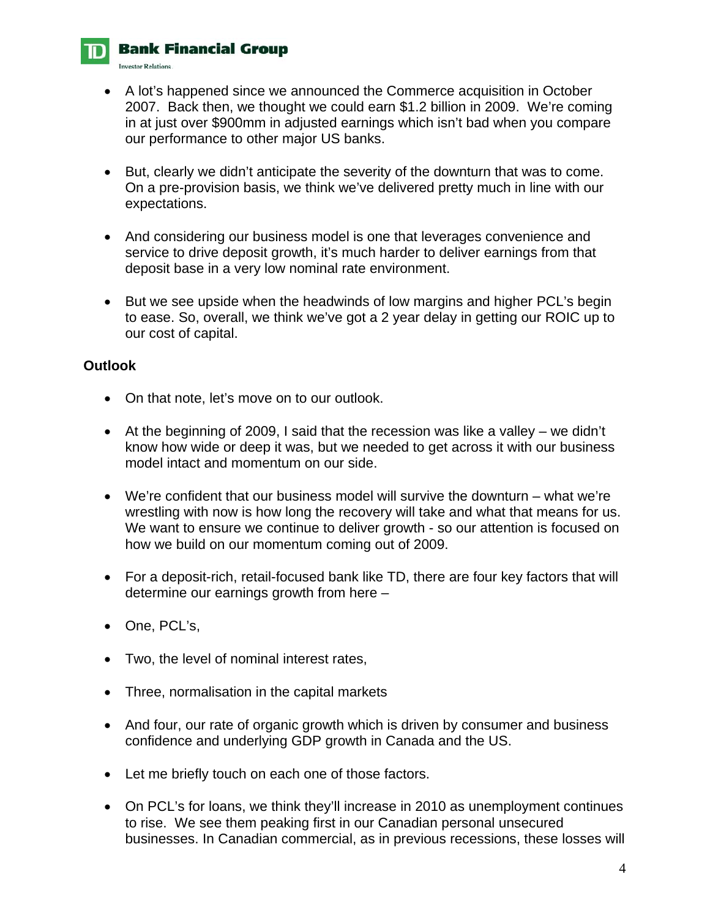**Investor Relations**.

- A lot's happened since we announced the Commerce acquisition in October 2007. Back then, we thought we could earn \$1.2 billion in 2009. We're coming in at just over \$900mm in adjusted earnings which isn't bad when you compare our performance to other major US banks.
- But, clearly we didn't anticipate the severity of the downturn that was to come. On a pre-provision basis, we think we've delivered pretty much in line with our expectations.
- And considering our business model is one that leverages convenience and service to drive deposit growth, it's much harder to deliver earnings from that deposit base in a very low nominal rate environment.
- But we see upside when the headwinds of low margins and higher PCL's begin to ease. So, overall, we think we've got a 2 year delay in getting our ROIC up to our cost of capital.

## **Outlook**

- On that note, let's move on to our outlook.
- At the beginning of 2009, I said that the recession was like a valley we didn't know how wide or deep it was, but we needed to get across it with our business model intact and momentum on our side.
- We're confident that our business model will survive the downturn what we're wrestling with now is how long the recovery will take and what that means for us. We want to ensure we continue to deliver growth - so our attention is focused on how we build on our momentum coming out of 2009.
- For a deposit-rich, retail-focused bank like TD, there are four key factors that will determine our earnings growth from here –
- One, PCL's,
- Two, the level of nominal interest rates,
- Three, normalisation in the capital markets
- And four, our rate of organic growth which is driven by consumer and business confidence and underlying GDP growth in Canada and the US.
- Let me briefly touch on each one of those factors.
- On PCL's for loans, we think they'll increase in 2010 as unemployment continues to rise. We see them peaking first in our Canadian personal unsecured businesses. In Canadian commercial, as in previous recessions, these losses will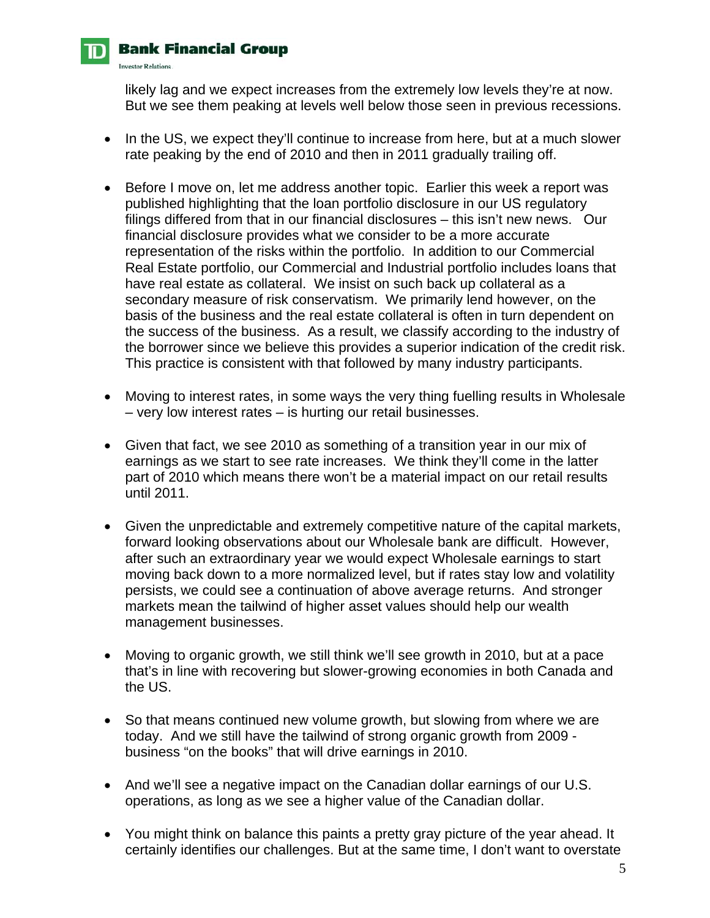

**Investor Relations.** 

likely lag and we expect increases from the extremely low levels they're at now. But we see them peaking at levels well below those seen in previous recessions.

- In the US, we expect they'll continue to increase from here, but at a much slower rate peaking by the end of 2010 and then in 2011 gradually trailing off.
- Before I move on, let me address another topic. Earlier this week a report was published highlighting that the loan portfolio disclosure in our US regulatory filings differed from that in our financial disclosures – this isn't new news. Our financial disclosure provides what we consider to be a more accurate representation of the risks within the portfolio. In addition to our Commercial Real Estate portfolio, our Commercial and Industrial portfolio includes loans that have real estate as collateral. We insist on such back up collateral as a secondary measure of risk conservatism. We primarily lend however, on the basis of the business and the real estate collateral is often in turn dependent on the success of the business. As a result, we classify according to the industry of the borrower since we believe this provides a superior indication of the credit risk. This practice is consistent with that followed by many industry participants.
- Moving to interest rates, in some ways the very thing fuelling results in Wholesale – very low interest rates – is hurting our retail businesses.
- Given that fact, we see 2010 as something of a transition year in our mix of earnings as we start to see rate increases. We think they'll come in the latter part of 2010 which means there won't be a material impact on our retail results until 2011.
- Given the unpredictable and extremely competitive nature of the capital markets, forward looking observations about our Wholesale bank are difficult. However, after such an extraordinary year we would expect Wholesale earnings to start moving back down to a more normalized level, but if rates stay low and volatility persists, we could see a continuation of above average returns. And stronger markets mean the tailwind of higher asset values should help our wealth management businesses.
- Moving to organic growth, we still think we'll see growth in 2010, but at a pace that's in line with recovering but slower-growing economies in both Canada and the US.
- So that means continued new volume growth, but slowing from where we are today. And we still have the tailwind of strong organic growth from 2009 business "on the books" that will drive earnings in 2010.
- And we'll see a negative impact on the Canadian dollar earnings of our U.S. operations, as long as we see a higher value of the Canadian dollar.
- You might think on balance this paints a pretty gray picture of the year ahead. It certainly identifies our challenges. But at the same time, I don't want to overstate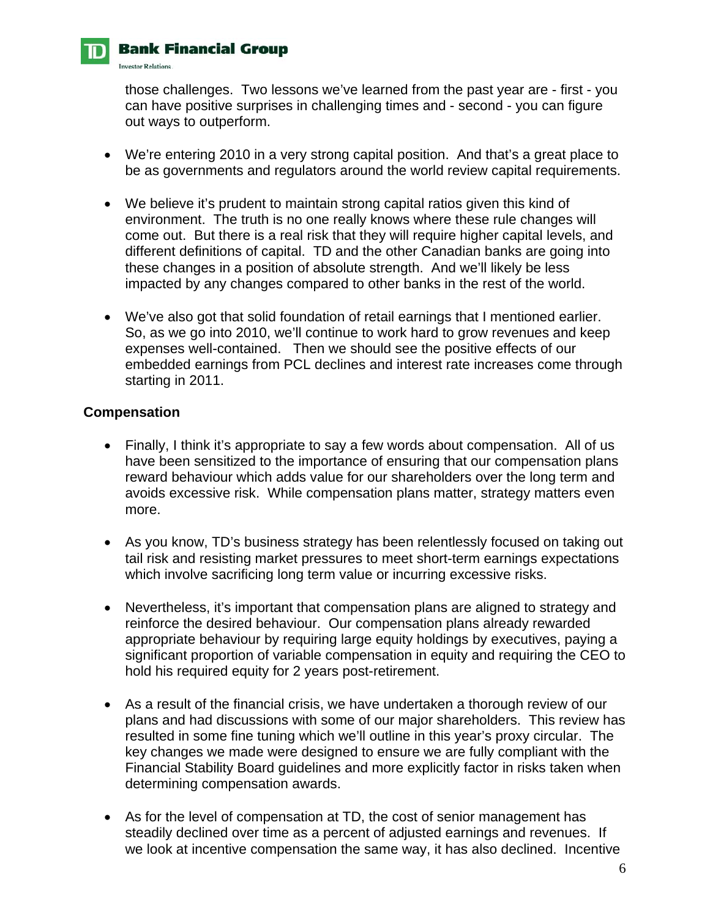

**Investor Relations.** 

those challenges. Two lessons we've learned from the past year are - first - you can have positive surprises in challenging times and - second - you can figure out ways to outperform.

- We're entering 2010 in a very strong capital position. And that's a great place to be as governments and regulators around the world review capital requirements.
- We believe it's prudent to maintain strong capital ratios given this kind of environment. The truth is no one really knows where these rule changes will come out. But there is a real risk that they will require higher capital levels, and different definitions of capital. TD and the other Canadian banks are going into these changes in a position of absolute strength. And we'll likely be less impacted by any changes compared to other banks in the rest of the world.
- We've also got that solid foundation of retail earnings that I mentioned earlier. So, as we go into 2010, we'll continue to work hard to grow revenues and keep expenses well-contained. Then we should see the positive effects of our embedded earnings from PCL declines and interest rate increases come through starting in 2011.

#### **Compensation**

- Finally, I think it's appropriate to say a few words about compensation. All of us have been sensitized to the importance of ensuring that our compensation plans reward behaviour which adds value for our shareholders over the long term and avoids excessive risk. While compensation plans matter, strategy matters even more.
- As you know, TD's business strategy has been relentlessly focused on taking out tail risk and resisting market pressures to meet short-term earnings expectations which involve sacrificing long term value or incurring excessive risks.
- Nevertheless, it's important that compensation plans are aligned to strategy and reinforce the desired behaviour. Our compensation plans already rewarded appropriate behaviour by requiring large equity holdings by executives, paying a significant proportion of variable compensation in equity and requiring the CEO to hold his required equity for 2 years post-retirement.
- As a result of the financial crisis, we have undertaken a thorough review of our plans and had discussions with some of our major shareholders. This review has resulted in some fine tuning which we'll outline in this year's proxy circular. The key changes we made were designed to ensure we are fully compliant with the Financial Stability Board guidelines and more explicitly factor in risks taken when determining compensation awards.
- As for the level of compensation at TD, the cost of senior management has steadily declined over time as a percent of adjusted earnings and revenues. If we look at incentive compensation the same way, it has also declined. Incentive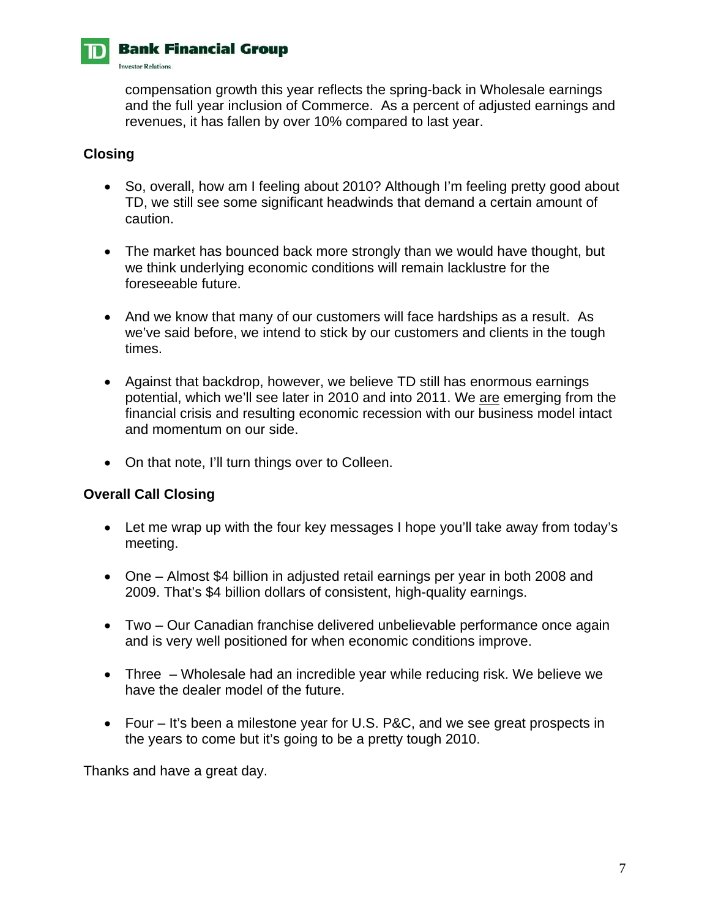

**Investor Relations.** 

compensation growth this year reflects the spring-back in Wholesale earnings and the full year inclusion of Commerce. As a percent of adjusted earnings and revenues, it has fallen by over 10% compared to last year.

#### **Closing**

- So, overall, how am I feeling about 2010? Although I'm feeling pretty good about TD, we still see some significant headwinds that demand a certain amount of caution.
- The market has bounced back more strongly than we would have thought, but we think underlying economic conditions will remain lacklustre for the foreseeable future.
- And we know that many of our customers will face hardships as a result. As we've said before, we intend to stick by our customers and clients in the tough times.
- Against that backdrop, however, we believe TD still has enormous earnings potential, which we'll see later in 2010 and into 2011. We are emerging from the financial crisis and resulting economic recession with our business model intact and momentum on our side.
- On that note, I'll turn things over to Colleen.

## **Overall Call Closing**

- Let me wrap up with the four key messages I hope you'll take away from today's meeting.
- One Almost \$4 billion in adjusted retail earnings per year in both 2008 and 2009. That's \$4 billion dollars of consistent, high-quality earnings.
- Two Our Canadian franchise delivered unbelievable performance once again and is very well positioned for when economic conditions improve.
- Three Wholesale had an incredible year while reducing risk. We believe we have the dealer model of the future.
- Four It's been a milestone year for U.S. P&C, and we see great prospects in the years to come but it's going to be a pretty tough 2010.

Thanks and have a great day.